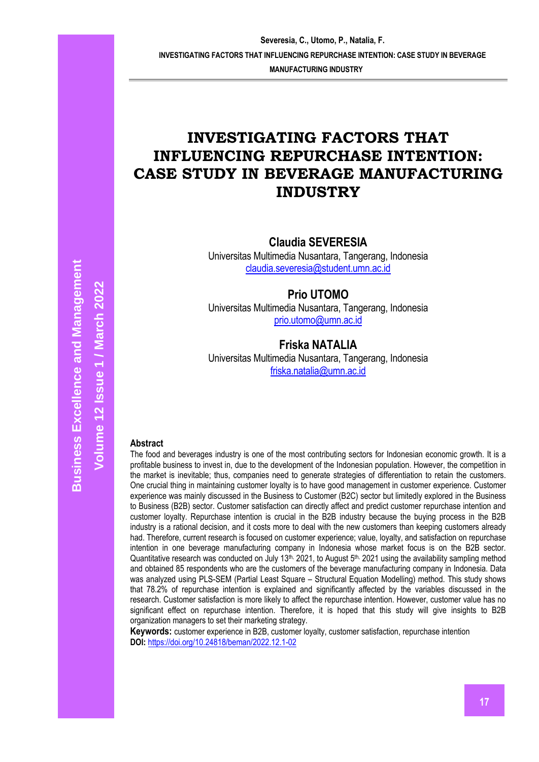# **INVESTIGATING FACTORS THAT INFLUENCING REPURCHASE INTENTION: CASE STUDY IN BEVERAGE MANUFACTURING INDUSTRY**

**Claudia SEVERESIA**

Universitas Multimedia Nusantara, Tangerang, Indonesia [claudia.severesia@student.umn.ac.id](mailto:claudia.severesia@student.umn.ac.id)

**Prio UTOMO**

Universitas Multimedia Nusantara, Tangerang, Indonesia [prio.utomo@umn.ac.id](mailto:prio.utomo@umn.ac.id)

## **Friska NATALIA**

Universitas Multimedia Nusantara, Tangerang, Indonesia [friska.natalia@umn.ac.id](mailto:friska.natalia@umn.ac.id)

## **Abstract**

The food and beverages industry is one of the most contributing sectors for Indonesian economic growth. It is a profitable business to invest in, due to the development of the Indonesian population. However, the competition in the market is inevitable; thus, companies need to generate strategies of differentiation to retain the customers. One crucial thing in maintaining customer loyalty is to have good management in customer experience. Customer experience was mainly discussed in the Business to Customer (B2C) sector but limitedly explored in the Business to Business (B2B) sector. Customer satisfaction can directly affect and predict customer repurchase intention and customer loyalty. Repurchase intention is crucial in the B2B industry because the buying process in the B2B industry is a rational decision, and it costs more to deal with the new customers than keeping customers already had. Therefore, current research is focused on customer experience; value, loyalty, and satisfaction on repurchase intention in one beverage manufacturing company in Indonesia whose market focus is on the B2B sector. Quantitative research was conducted on July 13<sup>th, 2021</sup>, to August 5<sup>th, 2021</sup> using the availability sampling method and obtained 85 respondents who are the customers of the beverage manufacturing company in Indonesia. Data was analyzed using PLS-SEM (Partial Least Square – Structural Equation Modelling) method. This study shows that 78.2% of repurchase intention is explained and significantly affected by the variables discussed in the research. Customer satisfaction is more likely to affect the repurchase intention. However, customer value has no significant effect on repurchase intention. Therefore, it is hoped that this study will give insights to B2B organization managers to set their marketing strategy.

**Keywords:** customer experience in B2B, customer loyalty, customer satisfaction, repurchase intention **DOI:** <https://doi.org/10.24818/beman/2022.12.1-02>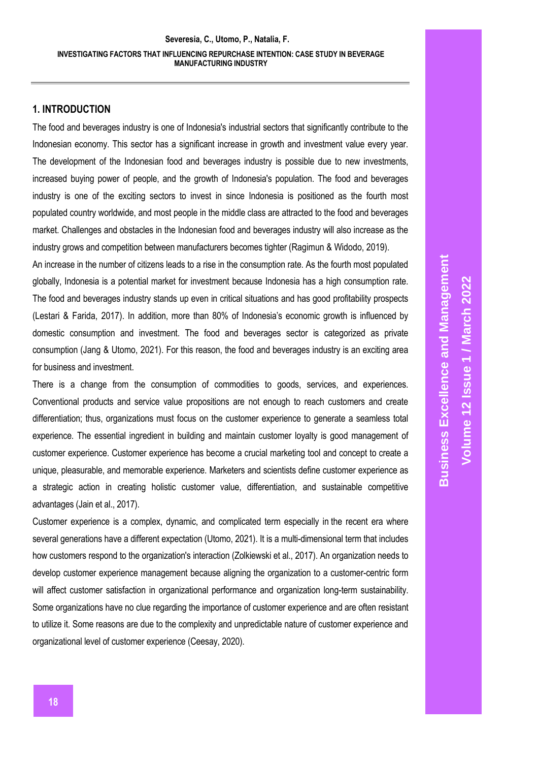### **1. INTRODUCTION**

The food and beverages industry is one of Indonesia's industrial sectors that significantly contribute to the Indonesian economy. This sector has a significant increase in growth and investment value every year. The development of the Indonesian food and beverages industry is possible due to new investments, increased buying power of people, and the growth of Indonesia's population. The food and beverages industry is one of the exciting sectors to invest in since Indonesia is positioned as the fourth most populated country worldwide, and most people in the middle class are attracted to the food and beverages market. Challenges and obstacles in the Indonesian food and beverages industry will also increase as the industry grows and competition between manufacturers becomes tighter (Ragimun & Widodo, 2019).

An increase in the number of citizens leads to a rise in the consumption rate. As the fourth most populated globally, Indonesia is a potential market for investment because Indonesia has a high consumption rate. The food and beverages industry stands up even in critical situations and has good profitability prospects (Lestari & Farida, 2017). In addition, more than 80% of Indonesia's economic growth is influenced by domestic consumption and investment. The food and beverages sector is categorized as private consumption (Jang & Utomo, 2021). For this reason, the food and beverages industry is an exciting area for business and investment.

There is a change from the consumption of commodities to goods, services, and experiences. Conventional products and service value propositions are not enough to reach customers and create differentiation; thus, organizations must focus on the customer experience to generate a seamless total experience. The essential ingredient in building and maintain customer loyalty is good management of customer experience. Customer experience has become a crucial marketing tool and concept to create a unique, pleasurable, and memorable experience. Marketers and scientists define customer experience as a strategic action in creating holistic customer value, differentiation, and sustainable competitive advantages (Jain et al., 2017).

Customer experience is a complex, dynamic, and complicated term especially in the recent era where several generations have a different expectation (Utomo, 2021). It is a multi-dimensional term that includes how customers respond to the organization's interaction (Zolkiewski et al., 2017). An organization needs to develop customer experience management because aligning the organization to a customer-centric form will affect customer satisfaction in organizational performance and organization long-term sustainability. Some organizations have no clue regarding the importance of customer experience and are often resistant to utilize it. Some reasons are due to the complexity and unpredictable nature of customer experience and organizational level of customer experience (Ceesay, 2020).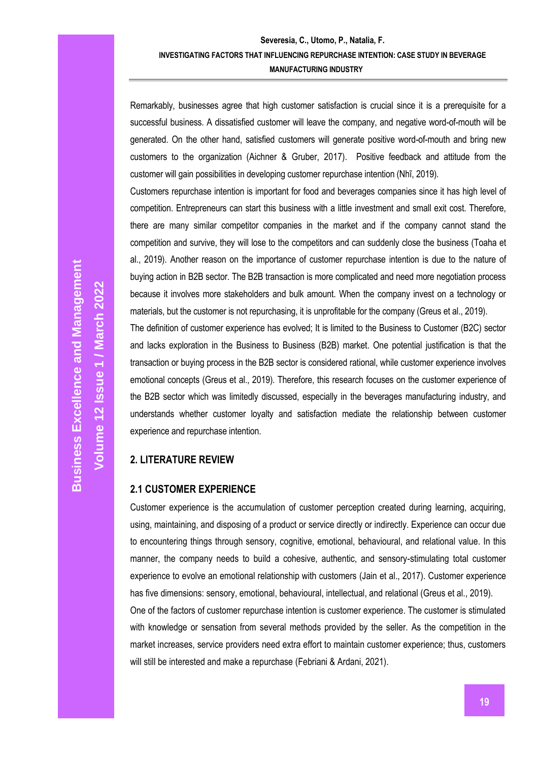Remarkably, businesses agree that high customer satisfaction is crucial since it is a prerequisite for a successful business. A dissatisfied customer will leave the company, and negative word-of-mouth will be generated. On the other hand, satisfied customers will generate positive word-of-mouth and bring new customers to the organization (Aichner & Gruber, 2017). Positive feedback and attitude from the customer will gain possibilities in developing customer repurchase intention (Nhĩ, 2019).

Customers repurchase intention is important for food and beverages companies since it has high level of competition. Entrepreneurs can start this business with a little investment and small exit cost. Therefore, there are many similar competitor companies in the market and if the company cannot stand the competition and survive, they will lose to the competitors and can suddenly close the business (Toaha et al., 2019). Another reason on the importance of customer repurchase intention is due to the nature of buying action in B2B sector. The B2B transaction is more complicated and need more negotiation process because it involves more stakeholders and bulk amount. When the company invest on a technology or

The definition of customer experience has evolved; It is limited to the Business to Customer (B2C) sector and lacks exploration in the Business to Business (B2B) market. One potential justification is that the transaction or buying process in the B2B sector is considered rational, while customer experience involves emotional concepts (Greus et al., 2019). Therefore, this research focuses on the customer experience of the B2B sector which was limitedly discussed, especially in the beverages manufacturing industry, and understands whether customer loyalty and satisfaction mediate the relationship between customer experience and repurchase intention.

materials, but the customer is not repurchasing, it is unprofitable for the company (Greus et al., 2019).

### **2. LITERATURE REVIEW**

### **2.1 CUSTOMER EXPERIENCE**

Customer experience is the accumulation of customer perception created during learning, acquiring, using, maintaining, and disposing of a product or service directly or indirectly. Experience can occur due to encountering things through sensory, cognitive, emotional, behavioural, and relational value. In this manner, the company needs to build a cohesive, authentic, and sensory-stimulating total customer experience to evolve an emotional relationship with customers (Jain et al., 2017). Customer experience has five dimensions: sensory, emotional, behavioural, intellectual, and relational (Greus et al., 2019).

One of the factors of customer repurchase intention is customer experience. The customer is stimulated with knowledge or sensation from several methods provided by the seller. As the competition in the market increases, service providers need extra effort to maintain customer experience; thus, customers will still be interested and make a repurchase (Febriani & Ardani, 2021).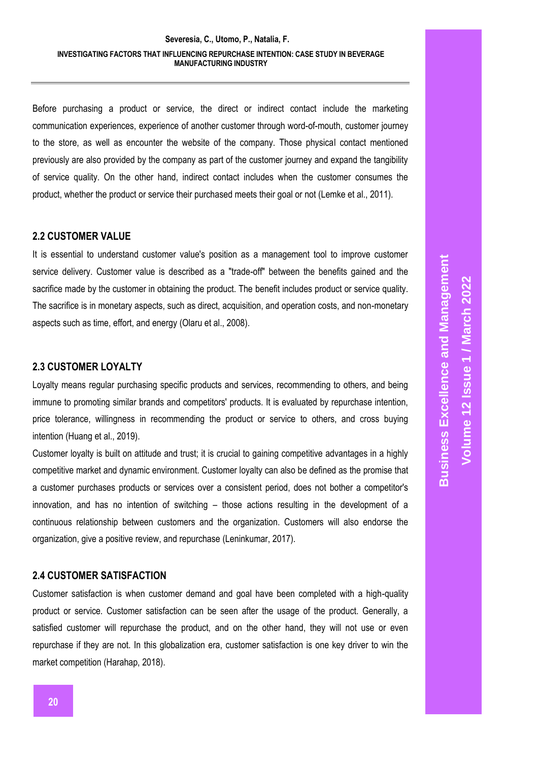Before purchasing a product or service, the direct or indirect contact include the marketing communication experiences, experience of another customer through word-of-mouth, customer journey to the store, as well as encounter the website of the company. Those physical contact mentioned previously are also provided by the company as part of the customer journey and expand the tangibility of service quality. On the other hand, indirect contact includes when the customer consumes the product, whether the product or service their purchased meets their goal or not (Lemke et al., 2011).

### **2.2 CUSTOMER VALUE**

It is essential to understand customer value's position as a management tool to improve customer service delivery. Customer value is described as a "trade-off" between the benefits gained and the sacrifice made by the customer in obtaining the product. The benefit includes product or service quality. The sacrifice is in monetary aspects, such as direct, acquisition, and operation costs, and non-monetary aspects such as time, effort, and energy (Olaru et al., 2008).

### **2.3 CUSTOMER LOYALTY**

Loyalty means regular purchasing specific products and services, recommending to others, and being immune to promoting similar brands and competitors' products. It is evaluated by repurchase intention, price tolerance, willingness in recommending the product or service to others, and cross buying intention (Huang et al., 2019).

Customer loyalty is built on attitude and trust; it is crucial to gaining competitive advantages in a highly competitive market and dynamic environment. Customer loyalty can also be defined as the promise that a customer purchases products or services over a consistent period, does not bother a competitor's innovation, and has no intention of switching – those actions resulting in the development of a continuous relationship between customers and the organization. Customers will also endorse the organization, give a positive review, and repurchase (Leninkumar, 2017).

### **2.4 CUSTOMER SATISFACTION**

Customer satisfaction is when customer demand and goal have been completed with a high-quality product or service. Customer satisfaction can be seen after the usage of the product. Generally, a satisfied customer will repurchase the product, and on the other hand, they will not use or even repurchase if they are not. In this globalization era, customer satisfaction is one key driver to win the market competition (Harahap, 2018).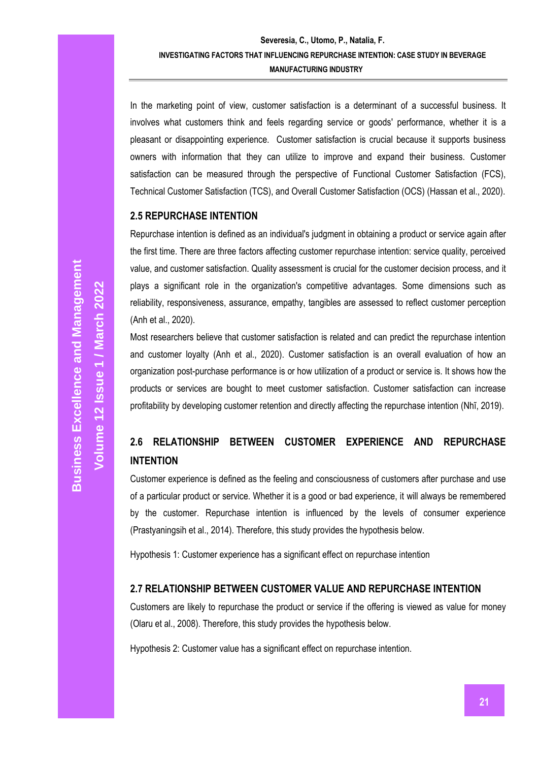In the marketing point of view, customer satisfaction is a determinant of a successful business. It involves what customers think and feels regarding service or goods' performance, whether it is a pleasant or disappointing experience. Customer satisfaction is crucial because it supports business owners with information that they can utilize to improve and expand their business. Customer satisfaction can be measured through the perspective of Functional Customer Satisfaction (FCS), Technical Customer Satisfaction (TCS), and Overall Customer Satisfaction (OCS) (Hassan et al., 2020).

### **2.5 REPURCHASE INTENTION**

Repurchase intention is defined as an individual's judgment in obtaining a product or service again after the first time. There are three factors affecting customer repurchase intention: service quality, perceived value, and customer satisfaction. Quality assessment is crucial for the customer decision process, and it plays a significant role in the organization's competitive advantages. Some dimensions such as reliability, responsiveness, assurance, empathy, tangibles are assessed to reflect customer perception (Anh et al., 2020).

Most researchers believe that customer satisfaction is related and can predict the repurchase intention and customer loyalty (Anh et al., 2020). Customer satisfaction is an overall evaluation of how an organization post-purchase performance is or how utilization of a product or service is. It shows how the products or services are bought to meet customer satisfaction. Customer satisfaction can increase profitability by developing customer retention and directly affecting the repurchase intention (Nhĩ, 2019).

# **2.6 RELATIONSHIP BETWEEN CUSTOMER EXPERIENCE AND REPURCHASE INTENTION**

Customer experience is defined as the feeling and consciousness of customers after purchase and use of a particular product or service. Whether it is a good or bad experience, it will always be remembered by the customer. Repurchase intention is influenced by the levels of consumer experience (Prastyaningsih et al., 2014). Therefore, this study provides the hypothesis below.

Hypothesis 1: Customer experience has a significant effect on repurchase intention

### **2.7 RELATIONSHIP BETWEEN CUSTOMER VALUE AND REPURCHASE INTENTION**

Customers are likely to repurchase the product or service if the offering is viewed as value for money (Olaru et al., 2008). Therefore, this study provides the hypothesis below.

Hypothesis 2: Customer value has a significant effect on repurchase intention.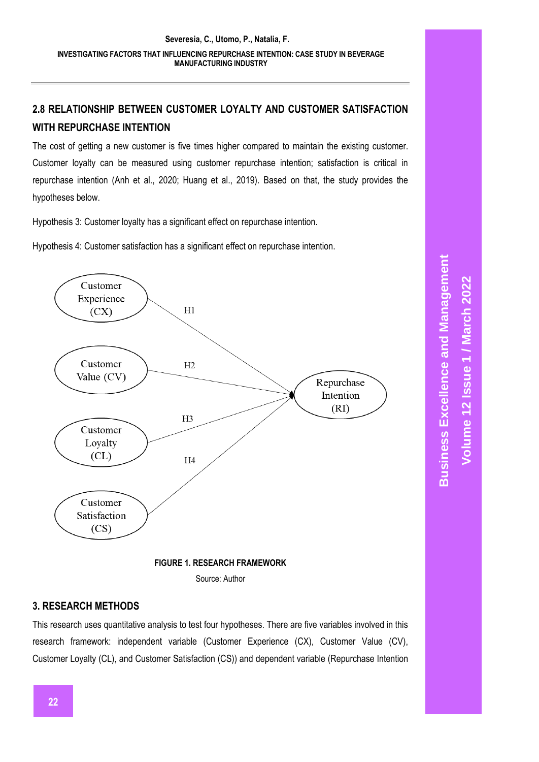# **2.8 RELATIONSHIP BETWEEN CUSTOMER LOYALTY AND CUSTOMER SATISFACTION WITH REPURCHASE INTENTION**

The cost of getting a new customer is five times higher compared to maintain the existing customer. Customer loyalty can be measured using customer repurchase intention; satisfaction is critical in repurchase intention (Anh et al., 2020; Huang et al., 2019). Based on that, the study provides the hypotheses below.

Hypothesis 3: Customer loyalty has a significant effect on repurchase intention.

Hypothesis 4: Customer satisfaction has a significant effect on repurchase intention.



Source: Author

# **3. RESEARCH METHODS**

This research uses quantitative analysis to test four hypotheses. There are five variables involved in this research framework: independent variable (Customer Experience (CX), Customer Value (CV), Customer Loyalty (CL), and Customer Satisfaction (CS)) and dependent variable (Repurchase Intention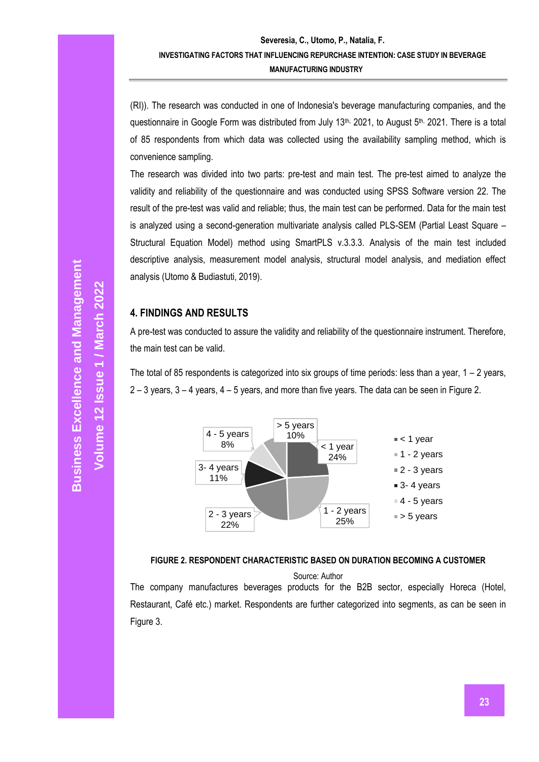(RI)). The research was conducted in one of Indonesia's beverage manufacturing companies, and the questionnaire in Google Form was distributed from July 13<sup>th,</sup> 2021, to August 5<sup>th, 2021. There is a total</sup> of 85 respondents from which data was collected using the availability sampling method, which is convenience sampling.

The research was divided into two parts: pre-test and main test. The pre-test aimed to analyze the validity and reliability of the questionnaire and was conducted using SPSS Software version 22. The result of the pre-test was valid and reliable; thus, the main test can be performed. Data for the main test is analyzed using a second-generation multivariate analysis called PLS-SEM (Partial Least Square – Structural Equation Model) method using SmartPLS v.3.3.3. Analysis of the main test included descriptive analysis, measurement model analysis, structural model analysis, and mediation effect analysis (Utomo & Budiastuti, 2019).

## **4. FINDINGS AND RESULTS**

A pre-test was conducted to assure the validity and reliability of the questionnaire instrument. Therefore, the main test can be valid.

The total of 85 respondents is categorized into six groups of time periods: less than a year,  $1 - 2$  years, 2 – 3 years, 3 – 4 years, 4 – 5 years, and more than five years. The data can be seen in Figure 2.





Source: Author

The company manufactures beverages products for the B2B sector, especially Horeca (Hotel, Restaurant, Café etc.) market. Respondents are further categorized into segments, as can be seen in Figure 3.

**Volume 12 Issue 1 / March 2022**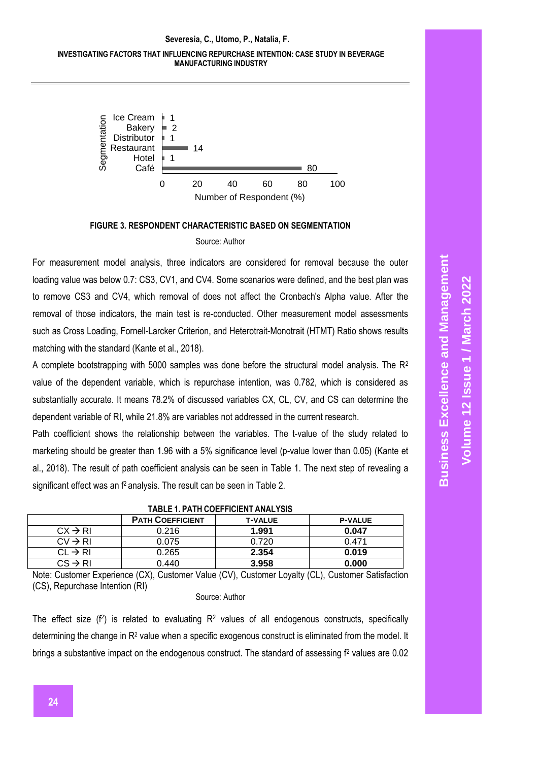### **Severesia, C., Utomo, P., Natalia, F. INVESTIGATING FACTORS THAT INFLUENCING REPURCHASE INTENTION: CASE STUDY IN BEVERAGE MANUFACTURING INDUSTRY**



## **FIGURE 3. RESPONDENT CHARACTERISTIC BASED ON SEGMENTATION**

#### Source: Author

For measurement model analysis, three indicators are considered for removal because the outer loading value was below 0.7: CS3, CV1, and CV4. Some scenarios were defined, and the best plan was to remove CS3 and CV4, which removal of does not affect the Cronbach's Alpha value. After the removal of those indicators, the main test is re-conducted. Other measurement model assessments such as Cross Loading, Fornell-Larcker Criterion, and Heterotrait-Monotrait (HTMT) Ratio shows results matching with the standard (Kante et al., 2018).

A complete bootstrapping with 5000 samples was done before the structural model analysis. The  $R^2$ value of the dependent variable, which is repurchase intention, was 0.782, which is considered as substantially accurate. It means 78.2% of discussed variables CX, CL, CV, and CS can determine the dependent variable of RI, while 21.8% are variables not addressed in the current research.

Path coefficient shows the relationship between the variables. The t-value of the study related to marketing should be greater than 1.96 with a 5% significance level (p-value lower than 0.05) (Kante et al., 2018). The result of path coefficient analysis can be seen in Table 1. The next step of revealing a significant effect was an f<sup>2</sup> analysis. The result can be seen in Table 2.

|                     | <b>PATH COEFFICIENT</b> | <b>T-VALUE</b> | <b>P-VALUE</b> |  |  |
|---------------------|-------------------------|----------------|----------------|--|--|
| $CX \rightarrow RI$ | 0.216                   | 1.991          | 0.047          |  |  |
| $CV \rightarrow RI$ | 0.075                   | 0.720          | 0.471          |  |  |
| $CL \rightarrow RI$ | 0.265                   | 2.354          | 0.019          |  |  |
| $CS \rightarrow RI$ | 0.440                   | 3.958          | 0.000          |  |  |
|                     |                         |                |                |  |  |

**TABLE 1. PATH COEFFICIENT ANALYSIS**

Note: Customer Experience (CX), Customer Value (CV), Customer Loyalty (CL), Customer Satisfaction (CS), Repurchase Intention (RI)

#### Source: Author

The effect size  $(f^2)$  is related to evaluating  $R^2$  values of all endogenous constructs, specifically determining the change in R<sup>2</sup> value when a specific exogenous construct is eliminated from the model. It brings a substantive impact on the endogenous construct. The standard of assessing f<sup>2</sup> values are 0.02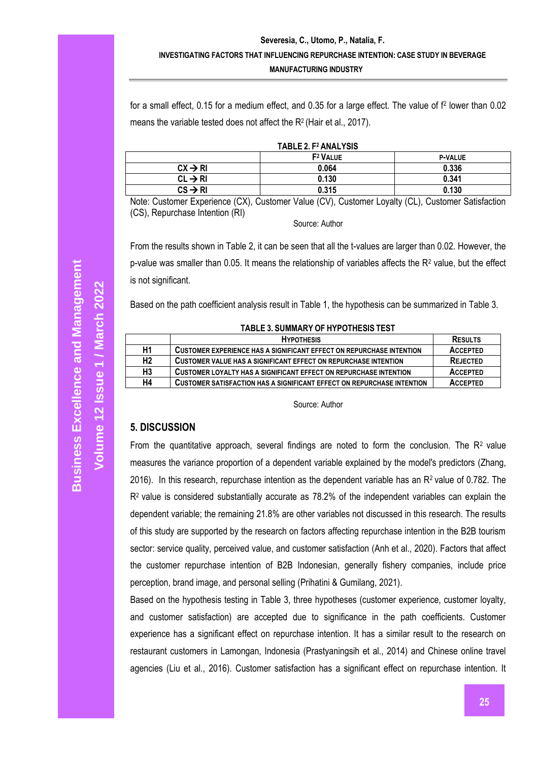for a small effect, 0.15 for a medium effect, and 0.35 for a large effect. The value of f<sup>2</sup> lower than 0.02 means the variable tested does not affect the  $R^2$  (Hair et al., 2017).

|  |  |  |  | TABLE 2. F <sup>2</sup> ANALYSIS |
|--|--|--|--|----------------------------------|
|--|--|--|--|----------------------------------|

|                     | F <sup>2</sup> VALUE | <b>P-VALUE</b> |  |  |
|---------------------|----------------------|----------------|--|--|
| $CX \rightarrow R1$ | 0.064                | 0.336          |  |  |
| $CL \rightarrow RI$ | 0.130                | 0.341          |  |  |
| $CS \rightarrow RI$ | 0.315                | 0.130          |  |  |
|                     |                      |                |  |  |

Note: Customer Experience (CX), Customer Value (CV), Customer Loyalty (CL), Customer Satisfaction (CS), Repurchase Intention (RI)

Source: Author

From the results shown in Table 2, it can be seen that all the t-values are larger than 0.02. However, the p-value was smaller than 0.05. It means the relationship of variables affects the  $R<sup>2</sup>$  value, but the effect is not significant.

Based on the path coefficient analysis result in Table 1, the hypothesis can be summarized in Table 3.

#### **TABLE 3. SUMMARY OF HYPOTHESIS TEST**

|                | <b>HYPOTHESIS</b>                                                           | <b>RESULTS</b>  |
|----------------|-----------------------------------------------------------------------------|-----------------|
| H1             | <b>CUSTOMER EXPERIENCE HAS A SIGNIFICANT EFFECT ON REPURCHASE INTENTION</b> | <b>ACCEPTED</b> |
| H <sub>2</sub> | <b>CUSTOMER VALUE HAS A SIGNIFICANT EFFECT ON REPURCHASE INTENTION</b>      | <b>REJECTED</b> |
| H3             | CUSTOMER LOYALTY HAS A SIGNIFICANT EFFECT ON REPURCHASE INTENTION           | <b>ACCEPTED</b> |
| H4             | CUSTOMER SATISFACTION HAS A SIGNIFICANT EFFECT ON REPURCHASE INTENTION      | <b>ACCEPTED</b> |

Source: Author

# **5. DISCUSSION**

From the quantitative approach, several findings are noted to form the conclusion. The  $R<sup>2</sup>$  value measures the variance proportion of a dependent variable explained by the model's predictors (Zhang, 2016). In this research, repurchase intention as the dependent variable has an  $R<sup>2</sup>$  value of 0.782. The  $R<sup>2</sup>$  value is considered substantially accurate as 78.2% of the independent variables can explain the dependent variable; the remaining 21.8% are other variables not discussed in this research. The results of this study are supported by the research on factors affecting repurchase intention in the B2B tourism sector: service quality, perceived value, and customer satisfaction (Anh et al., 2020). Factors that affect the customer repurchase intention of B2B Indonesian, generally fishery companies, include price perception, brand image, and personal selling (Prihatini & Gumilang, 2021).

Based on the hypothesis testing in Table 3, three hypotheses (customer experience, customer loyalty, and customer satisfaction) are accepted due to significance in the path coefficients. Customer experience has a significant effect on repurchase intention. It has a similar result to the research on restaurant customers in Lamongan, Indonesia (Prastyaningsih et al., 2014) and Chinese online travel agencies (Liu et al., 2016). Customer satisfaction has a significant effect on repurchase intention. It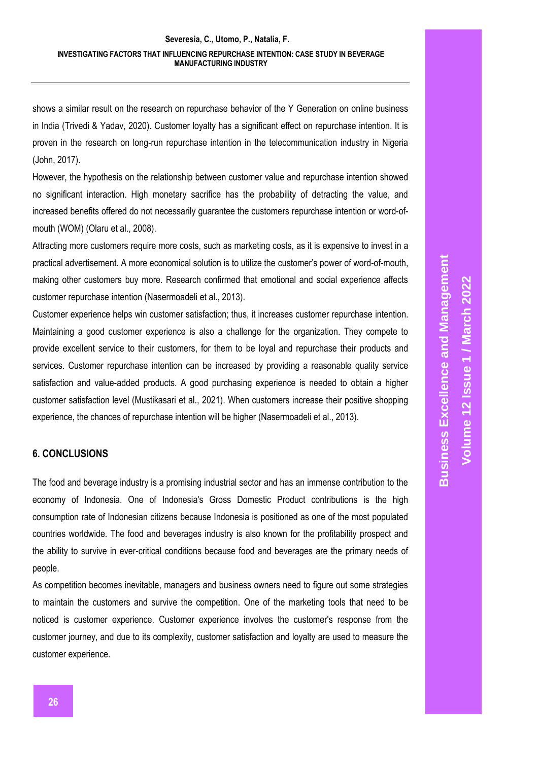shows a similar result on the research on repurchase behavior of the Y Generation on online business in India (Trivedi & Yadav, 2020). Customer loyalty has a significant effect on repurchase intention. It is proven in the research on long-run repurchase intention in the telecommunication industry in Nigeria (John, 2017).

However, the hypothesis on the relationship between customer value and repurchase intention showed no significant interaction. High monetary sacrifice has the probability of detracting the value, and increased benefits offered do not necessarily guarantee the customers repurchase intention or word-ofmouth (WOM) (Olaru et al., 2008).

Attracting more customers require more costs, such as marketing costs, as it is expensive to invest in a practical advertisement. A more economical solution is to utilize the customer's power of word-of-mouth, making other customers buy more. Research confirmed that emotional and social experience affects customer repurchase intention (Nasermoadeli et al., 2013).

Customer experience helps win customer satisfaction; thus, it increases customer repurchase intention. Maintaining a good customer experience is also a challenge for the organization. They compete to provide excellent service to their customers, for them to be loyal and repurchase their products and services. Customer repurchase intention can be increased by providing a reasonable quality service satisfaction and value-added products. A good purchasing experience is needed to obtain a higher customer satisfaction level (Mustikasari et al., 2021). When customers increase their positive shopping experience, the chances of repurchase intention will be higher (Nasermoadeli et al., 2013).

# **6. CONCLUSIONS**

The food and beverage industry is a promising industrial sector and has an immense contribution to the economy of Indonesia. One of Indonesia's Gross Domestic Product contributions is the high consumption rate of Indonesian citizens because Indonesia is positioned as one of the most populated countries worldwide. The food and beverages industry is also known for the profitability prospect and the ability to survive in ever-critical conditions because food and beverages are the primary needs of people.

As competition becomes inevitable, managers and business owners need to figure out some strategies to maintain the customers and survive the competition. One of the marketing tools that need to be noticed is customer experience. Customer experience involves the customer's response from the customer journey, and due to its complexity, customer satisfaction and loyalty are used to measure the customer experience.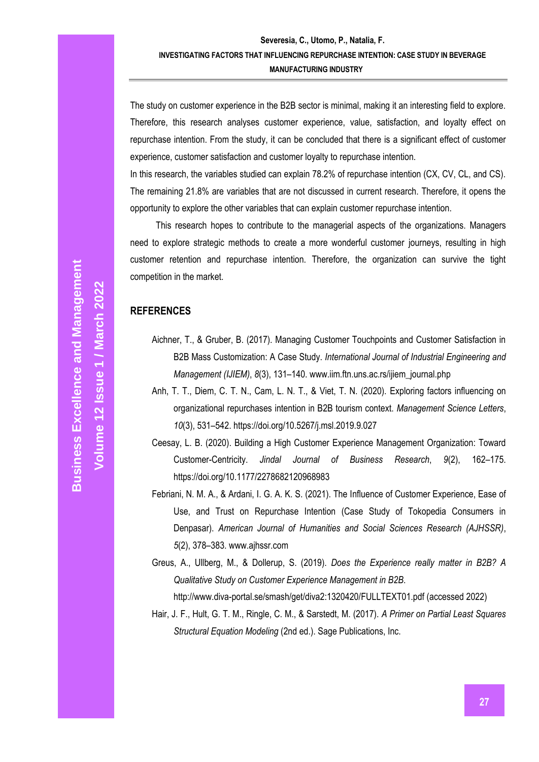The study on customer experience in the B2B sector is minimal, making it an interesting field to explore. Therefore, this research analyses customer experience, value, satisfaction, and loyalty effect on repurchase intention. From the study, it can be concluded that there is a significant effect of customer experience, customer satisfaction and customer loyalty to repurchase intention.

In this research, the variables studied can explain 78.2% of repurchase intention (CX, CV, CL, and CS). The remaining 21.8% are variables that are not discussed in current research. Therefore, it opens the opportunity to explore the other variables that can explain customer repurchase intention.

This research hopes to contribute to the managerial aspects of the organizations. Managers need to explore strategic methods to create a more wonderful customer journeys, resulting in high customer retention and repurchase intention. Therefore, the organization can survive the tight competition in the market.

### **REFERENCES**

- Aichner, T., & Gruber, B. (2017). Managing Customer Touchpoints and Customer Satisfaction in B2B Mass Customization: A Case Study. *International Journal of Industrial Engineering and Management (IJIEM)*, *8*(3), 131–140. www.iim.ftn.uns.ac.rs/ijiem\_journal.php
- Anh, T. T., Diem, C. T. N., Cam, L. N. T., & Viet, T. N. (2020). Exploring factors influencing on organizational repurchases intention in B2B tourism context. *Management Science Letters*, *10*(3), 531–542. https://doi.org/10.5267/j.msl.2019.9.027
- Ceesay, L. B. (2020). Building a High Customer Experience Management Organization: Toward Customer-Centricity. *Jindal Journal of Business Research*, *9*(2), 162–175. https://doi.org/10.1177/2278682120968983
- Febriani, N. M. A., & Ardani, I. G. A. K. S. (2021). The Influence of Customer Experience, Ease of Use, and Trust on Repurchase Intention (Case Study of Tokopedia Consumers in Denpasar). *American Journal of Humanities and Social Sciences Research (AJHSSR)*, *5*(2), 378–383. www.ajhssr.com
- Greus, A., Ullberg, M., & Dollerup, S. (2019). *Does the Experience really matter in B2B? A Qualitative Study on Customer Experience Management in B2B*. <http://www.diva-portal.se/smash/get/diva2:1320420/FULLTEXT01.pdf> (accessed 2022)
- Hair, J. F., Hult, G. T. M., Ringle, C. M., & Sarstedt, M. (2017). *A Primer on Partial Least Squares Structural Equation Modeling* (2nd ed.). Sage Publications, Inc.

**Volume 12 Issue 1 / March 2022**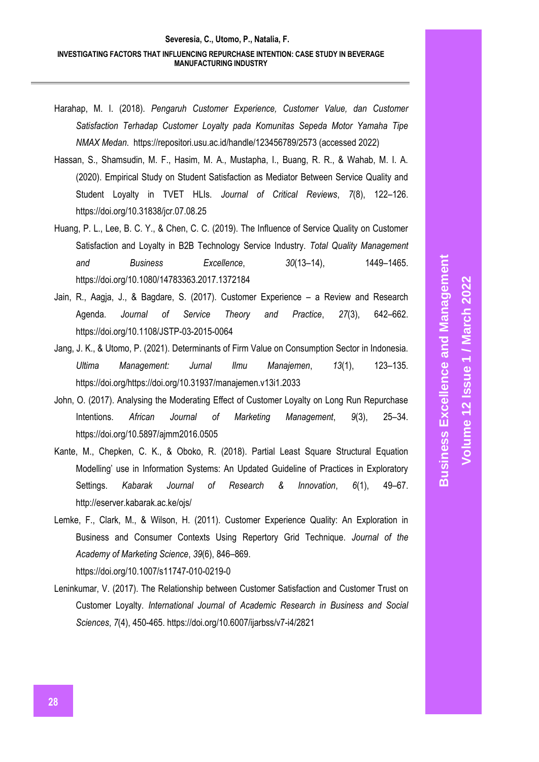- Harahap, M. I. (2018). *Pengaruh Customer Experience, Customer Value, dan Customer Satisfaction Terhadap Customer Loyalty pada Komunitas Sepeda Motor Yamaha Tipe NMAX Medan*.<https://repositori.usu.ac.id/handle/123456789/2573> (accessed 2022)
- Hassan, S., Shamsudin, M. F., Hasim, M. A., Mustapha, I., Buang, R. R., & Wahab, M. I. A. (2020). Empirical Study on Student Satisfaction as Mediator Between Service Quality and Student Loyalty in TVET HLIs. *Journal of Critical Reviews*, *7*(8), 122–126. https://doi.org/10.31838/jcr.07.08.25
- Huang, P. L., Lee, B. C. Y., & Chen, C. C. (2019). The Influence of Service Quality on Customer Satisfaction and Loyalty in B2B Technology Service Industry. *Total Quality Management and Business Excellence*, *30*(13–14), 1449–1465. https://doi.org/10.1080/14783363.2017.1372184
- Jain, R., Aagja, J., & Bagdare, S. (2017). Customer Experience a Review and Research Agenda. *Journal of Service Theory and Practice*, *27*(3), 642–662. https://doi.org/10.1108/JSTP-03-2015-0064
- Jang, J. K., & Utomo, P. (2021). Determinants of Firm Value on Consumption Sector in Indonesia. *Ultima Management: Jurnal Ilmu Manajemen*, *13*(1), 123–135. https://doi.org/https://doi.org/10.31937/manajemen.v13i1.2033
- John, O. (2017). Analysing the Moderating Effect of Customer Loyalty on Long Run Repurchase Intentions. *African Journal of Marketing Management*, *9*(3), 25–34. https://doi.org/10.5897/ajmm2016.0505
- Kante, M., Chepken, C. K., & Oboko, R. (2018). Partial Least Square Structural Equation Modelling' use in Information Systems: An Updated Guideline of Practices in Exploratory Settings. *Kabarak Journal of Research & Innovation*, *6*(1), 49–67. http://eserver.kabarak.ac.ke/ojs/
- Lemke, F., Clark, M., & Wilson, H. (2011). Customer Experience Quality: An Exploration in Business and Consumer Contexts Using Repertory Grid Technique. *Journal of the Academy of Marketing Science*, *39*(6), 846–869. https://doi.org/10.1007/s11747-010-0219-0
- Leninkumar, V. (2017). The Relationship between Customer Satisfaction and Customer Trust on Customer Loyalty. *International Journal of Academic Research in Business and Social Sciences*, *7*(4), 450-465. https://doi.org/10.6007/ijarbss/v7-i4/2821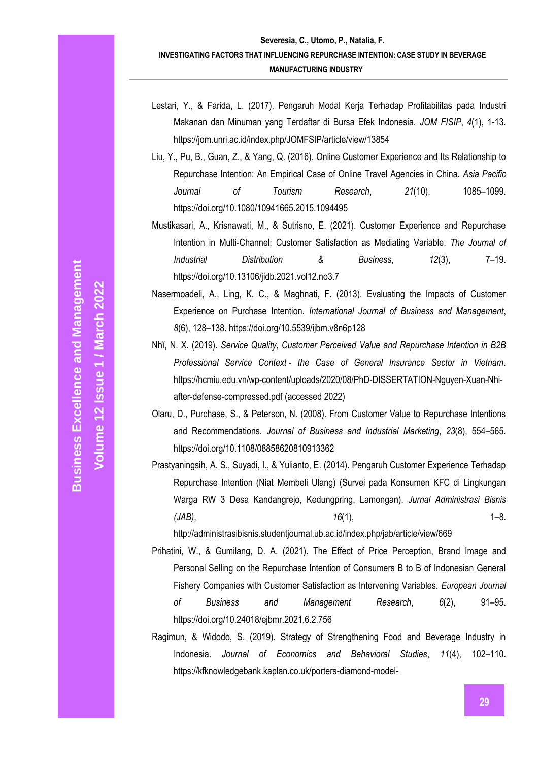- Lestari, Y., & Farida, L. (2017). Pengaruh Modal Kerja Terhadap Profitabilitas pada Industri Makanan dan Minuman yang Terdaftar di Bursa Efek Indonesia. *JOM FISIP*, *4*(1), 1-13. https://jom.unri.ac.id/index.php/JOMFSIP/article/view/13854
- Liu, Y., Pu, B., Guan, Z., & Yang, Q. (2016). Online Customer Experience and Its Relationship to Repurchase Intention: An Empirical Case of Online Travel Agencies in China. *Asia Pacific Journal of Tourism Research*, *21*(10), 1085–1099. https://doi.org/10.1080/10941665.2015.1094495
- Mustikasari, A., Krisnawati, M., & Sutrisno, E. (2021). Customer Experience and Repurchase Intention in Multi-Channel: Customer Satisfaction as Mediating Variable. *The Journal of Industrial Distribution & Business*, *12*(3), 7–19. https://doi.org/10.13106/jidb.2021.vol12.no3.7
- Nasermoadeli, A., Ling, K. C., & Maghnati, F. (2013). Evaluating the Impacts of Customer Experience on Purchase Intention. *International Journal of Business and Management*, *8*(6), 128–138. https://doi.org/10.5539/ijbm.v8n6p128
- Nhĩ, N. X. (2019). *Service Quality, Customer Perceived Value and Repurchase Intention in B2B Professional Service Context - the Case of General Insurance Sector in Vietnam*. [https://hcmiu.edu.vn/wp-content/uploads/2020/08/PhD-DISSERTATION-Nguyen-Xuan-Nhi](https://hcmiu.edu.vn/wp-content/uploads/2020/08/PhD-DISSERTATION-Nguyen-Xuan-Nhi-after-defense-compressed.pdf)[after-defense-compressed.pdf](https://hcmiu.edu.vn/wp-content/uploads/2020/08/PhD-DISSERTATION-Nguyen-Xuan-Nhi-after-defense-compressed.pdf) (accessed 2022)
- Olaru, D., Purchase, S., & Peterson, N. (2008). From Customer Value to Repurchase Intentions and Recommendations. *Journal of Business and Industrial Marketing*, *23*(8), 554–565. https://doi.org/10.1108/08858620810913362
- Prastyaningsih, A. S., Suyadi, I., & Yulianto, E. (2014). Pengaruh Customer Experience Terhadap Repurchase Intention (Niat Membeli Ulang) (Survei pada Konsumen KFC di Lingkungan Warga RW 3 Desa Kandangrejo, Kedungpring, Lamongan). *Jurnal Administrasi Bisnis (JAB)*, *16*(1), 1–8.

http://administrasibisnis.studentjournal.ub.ac.id/index.php/jab/article/view/669

- Prihatini, W., & Gumilang, D. A. (2021). The Effect of Price Perception, Brand Image and Personal Selling on the Repurchase Intention of Consumers B to B of Indonesian General Fishery Companies with Customer Satisfaction as Intervening Variables. *European Journal of Business and Management Research*, *6*(2), 91–95. https://doi.org/10.24018/ejbmr.2021.6.2.756
- Ragimun, & Widodo, S. (2019). Strategy of Strengthening Food and Beverage Industry in Indonesia. *Journal of Economics and Behavioral Studies*, *11*(4), 102–110. https://kfknowledgebank.kaplan.co.uk/porters-diamond-model-

**Volume 12 Issue 1 / March 2022**